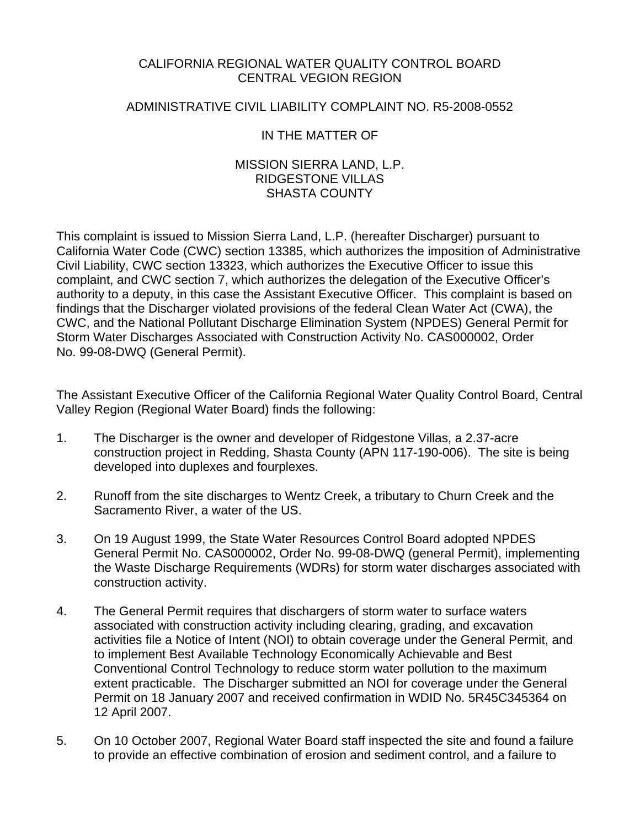## CALIFORNIA REGIONAL WATER QUALITY CONTROL BOARD CENTRAL VEGION REGION

### ADMINISTRATIVE CIVIL LIABILITY COMPLAINT NO. R5-2008-0552

## IN THE MATTER OF

#### MISSION SIERRA LAND, L.P. RIDGESTONE VILLAS SHASTA COUNTY

This complaint is issued to Mission Sierra Land, L.P. (hereafter Discharger) pursuant to California Water Code (CWC) section 13385, which authorizes the imposition of Administrative Civil Liability, CWC section 13323, which authorizes the Executive Officer to issue this complaint, and CWC section 7, which authorizes the delegation of the Executive Officer's authority to a deputy, in this case the Assistant Executive Officer. This complaint is based on findings that the Discharger violated provisions of the federal Clean Water Act (CWA), the CWC, and the National Pollutant Discharge Elimination System (NPDES) General Permit for Storm Water Discharges Associated with Construction Activity No. CAS000002, Order No. 99-08-DWQ (General Permit).

The Assistant Executive Officer of the California Regional Water Quality Control Board, Central Valley Region (Regional Water Board) finds the following:

- 1. The Discharger is the owner and developer of Ridgestone Villas, a 2.37-acre construction project in Redding, Shasta County (APN 117-190-006). The site is being developed into duplexes and fourplexes.
- 2. Runoff from the site discharges to Wentz Creek, a tributary to Churn Creek and the Sacramento River, a water of the US.
- 3. On 19 August 1999, the State Water Resources Control Board adopted NPDES General Permit No. CAS000002, Order No. 99-08-DWQ (general Permit), implementing the Waste Discharge Requirements (WDRs) for storm water discharges associated with construction activity.
- 4. The General Permit requires that dischargers of storm water to surface waters associated with construction activity including clearing, grading, and excavation activities file a Notice of Intent (NOI) to obtain coverage under the General Permit, and to implement Best Available Technology Economically Achievable and Best Conventional Control Technology to reduce storm water pollution to the maximum extent practicable. The Discharger submitted an NOI for coverage under the General Permit on 18 January 2007 and received confirmation in WDID No. 5R45C345364 on 12 April 2007.
- 5. On 10 October 2007, Regional Water Board staff inspected the site and found a failure to provide an effective combination of erosion and sediment control, and a failure to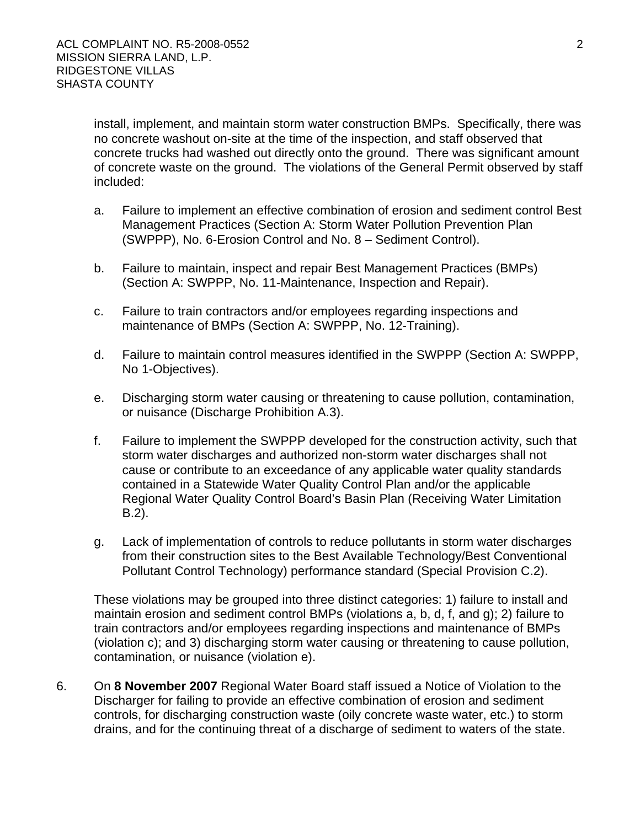install, implement, and maintain storm water construction BMPs. Specifically, there was no concrete washout on-site at the time of the inspection, and staff observed that concrete trucks had washed out directly onto the ground. There was significant amount of concrete waste on the ground. The violations of the General Permit observed by staff included:

- a. Failure to implement an effective combination of erosion and sediment control Best Management Practices (Section A: Storm Water Pollution Prevention Plan (SWPPP), No. 6-Erosion Control and No. 8 – Sediment Control).
- b. Failure to maintain, inspect and repair Best Management Practices (BMPs) (Section A: SWPPP, No. 11-Maintenance, Inspection and Repair).
- c. Failure to train contractors and/or employees regarding inspections and maintenance of BMPs (Section A: SWPPP, No. 12-Training).
- d. Failure to maintain control measures identified in the SWPPP (Section A: SWPPP, No 1-Objectives).
- e. Discharging storm water causing or threatening to cause pollution, contamination, or nuisance (Discharge Prohibition A.3).
- f. Failure to implement the SWPPP developed for the construction activity, such that storm water discharges and authorized non-storm water discharges shall not cause or contribute to an exceedance of any applicable water quality standards contained in a Statewide Water Quality Control Plan and/or the applicable Regional Water Quality Control Board's Basin Plan (Receiving Water Limitation B.2).
- g. Lack of implementation of controls to reduce pollutants in storm water discharges from their construction sites to the Best Available Technology/Best Conventional Pollutant Control Technology) performance standard (Special Provision C.2).

These violations may be grouped into three distinct categories: 1) failure to install and maintain erosion and sediment control BMPs (violations a, b, d, f, and g); 2) failure to train contractors and/or employees regarding inspections and maintenance of BMPs (violation c); and 3) discharging storm water causing or threatening to cause pollution, contamination, or nuisance (violation e).

6. On **8 November 2007** Regional Water Board staff issued a Notice of Violation to the Discharger for failing to provide an effective combination of erosion and sediment controls, for discharging construction waste (oily concrete waste water, etc.) to storm drains, and for the continuing threat of a discharge of sediment to waters of the state.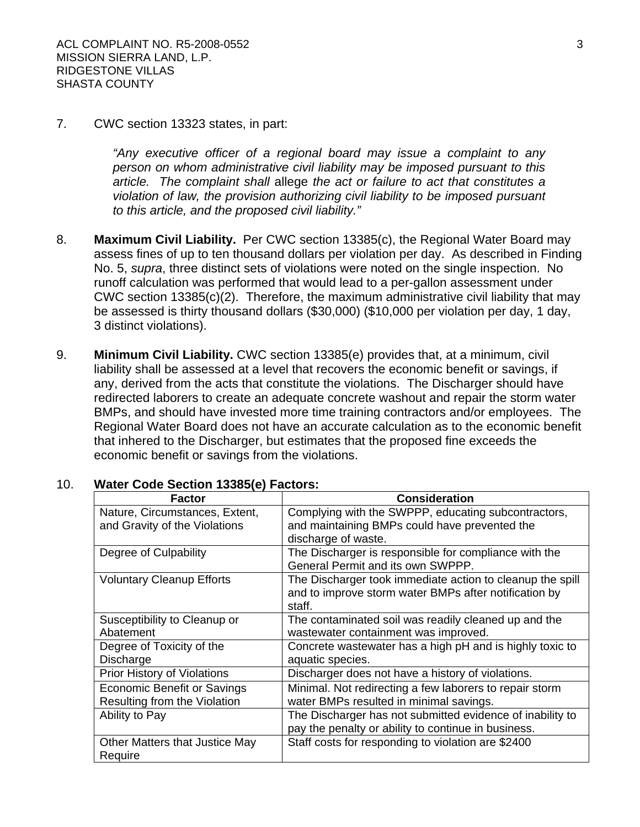#### 7. CWC section 13323 states, in part:

*"Any executive officer of a regional board may issue a complaint to any person on whom administrative civil liability may be imposed pursuant to this article. The complaint shall* allege *the act or failure to act that constitutes a violation of law, the provision authorizing civil liability to be imposed pursuant to this article, and the proposed civil liability."*

- 8. **Maximum Civil Liability.** Per CWC section 13385(c), the Regional Water Board may assess fines of up to ten thousand dollars per violation per day. As described in Finding No. 5, *supra*, three distinct sets of violations were noted on the single inspection. No runoff calculation was performed that would lead to a per-gallon assessment under CWC section 13385(c)(2). Therefore, the maximum administrative civil liability that may be assessed is thirty thousand dollars (\$30,000) (\$10,000 per violation per day, 1 day, 3 distinct violations).
- 9. **Minimum Civil Liability.** CWC section 13385(e) provides that, at a minimum, civil liability shall be assessed at a level that recovers the economic benefit or savings, if any, derived from the acts that constitute the violations. The Discharger should have redirected laborers to create an adequate concrete washout and repair the storm water BMPs, and should have invested more time training contractors and/or employees. The Regional Water Board does not have an accurate calculation as to the economic benefit that inhered to the Discharger, but estimates that the proposed fine exceeds the economic benefit or savings from the violations.

| <b>Factor</b>                      | <b>Consideration</b>                                      |
|------------------------------------|-----------------------------------------------------------|
| Nature, Circumstances, Extent,     | Complying with the SWPPP, educating subcontractors,       |
| and Gravity of the Violations      | and maintaining BMPs could have prevented the             |
|                                    | discharge of waste.                                       |
| Degree of Culpability              | The Discharger is responsible for compliance with the     |
|                                    | General Permit and its own SWPPP.                         |
| <b>Voluntary Cleanup Efforts</b>   | The Discharger took immediate action to cleanup the spill |
|                                    | and to improve storm water BMPs after notification by     |
|                                    | staff.                                                    |
| Susceptibility to Cleanup or       | The contaminated soil was readily cleaned up and the      |
| Abatement                          | wastewater containment was improved.                      |
| Degree of Toxicity of the          | Concrete wastewater has a high pH and is highly toxic to  |
| Discharge                          | aquatic species.                                          |
| <b>Prior History of Violations</b> | Discharger does not have a history of violations.         |
| <b>Economic Benefit or Savings</b> | Minimal. Not redirecting a few laborers to repair storm   |
| Resulting from the Violation       | water BMPs resulted in minimal savings.                   |
| Ability to Pay                     | The Discharger has not submitted evidence of inability to |
|                                    | pay the penalty or ability to continue in business.       |
| Other Matters that Justice May     | Staff costs for responding to violation are \$2400        |
| Require                            |                                                           |

#### 10. **Water Code Section 13385(e) Factors:**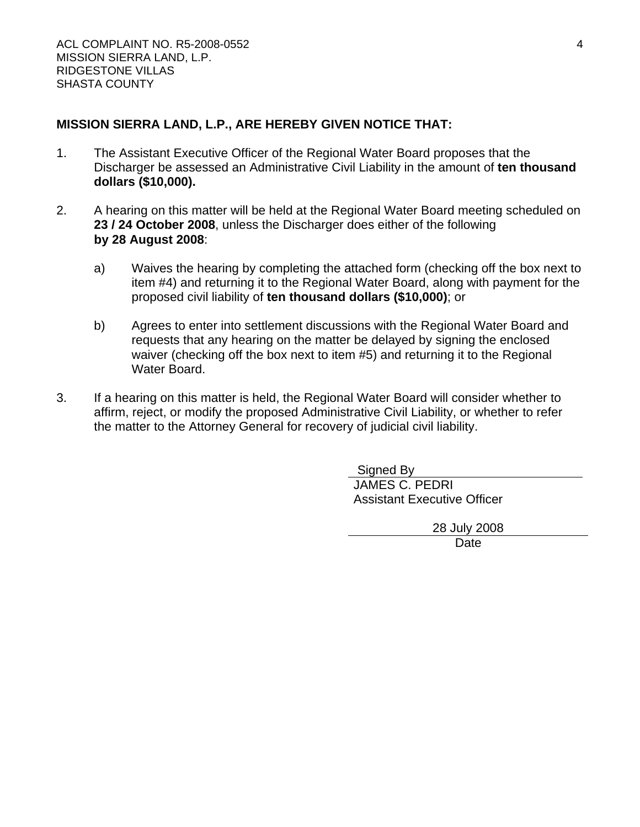# **MISSION SIERRA LAND, L.P., ARE HEREBY GIVEN NOTICE THAT:**

- 1. The Assistant Executive Officer of the Regional Water Board proposes that the Discharger be assessed an Administrative Civil Liability in the amount of **ten thousand dollars (\$10,000).**
- 2. A hearing on this matter will be held at the Regional Water Board meeting scheduled on **23 / 24 October 2008**, unless the Discharger does either of the following **by 28 August 2008**:
	- a) Waives the hearing by completing the attached form (checking off the box next to item #4) and returning it to the Regional Water Board, along with payment for the proposed civil liability of **ten thousand dollars (\$10,000)**; or
	- b) Agrees to enter into settlement discussions with the Regional Water Board and requests that any hearing on the matter be delayed by signing the enclosed waiver (checking off the box next to item #5) and returning it to the Regional Water Board.
- 3. If a hearing on this matter is held, the Regional Water Board will consider whether to affirm, reject, or modify the proposed Administrative Civil Liability, or whether to refer the matter to the Attorney General for recovery of judicial civil liability.

 Signed By JAMES C. PEDRI Assistant Executive Officer

28 July 2008

**Date**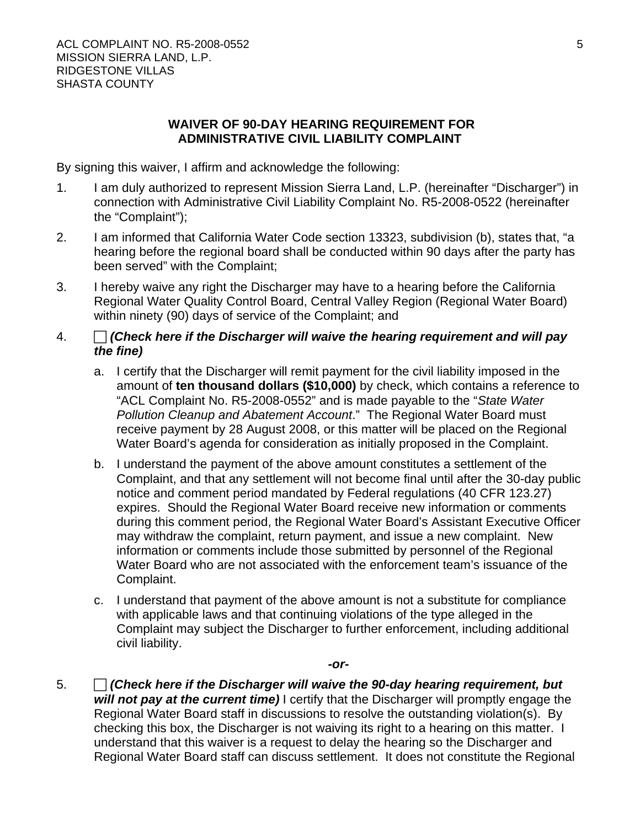### **WAIVER OF 90-DAY HEARING REQUIREMENT FOR ADMINISTRATIVE CIVIL LIABILITY COMPLAINT**

By signing this waiver, I affirm and acknowledge the following:

- 1. I am duly authorized to represent Mission Sierra Land, L.P. (hereinafter "Discharger") in connection with Administrative Civil Liability Complaint No. R5-2008-0522 (hereinafter the "Complaint");
- 2. I am informed that California Water Code section 13323, subdivision (b), states that, "a hearing before the regional board shall be conducted within 90 days after the party has been served" with the Complaint;
- 3. I hereby waive any right the Discharger may have to a hearing before the California Regional Water Quality Control Board, Central Valley Region (Regional Water Board) within ninety (90) days of service of the Complaint; and

# 4. F *(Check here if the Discharger will waive the hearing requirement and will pay the fine)*

- a. I certify that the Discharger will remit payment for the civil liability imposed in the amount of **ten thousand dollars (\$10,000)** by check, which contains a reference to "ACL Complaint No. R5-2008-0552" and is made payable to the "*State Water Pollution Cleanup and Abatement Account*." The Regional Water Board must receive payment by 28 August 2008, or this matter will be placed on the Regional Water Board's agenda for consideration as initially proposed in the Complaint.
- b. I understand the payment of the above amount constitutes a settlement of the Complaint, and that any settlement will not become final until after the 30-day public notice and comment period mandated by Federal regulations (40 CFR 123.27) expires. Should the Regional Water Board receive new information or comments during this comment period, the Regional Water Board's Assistant Executive Officer may withdraw the complaint, return payment, and issue a new complaint. New information or comments include those submitted by personnel of the Regional Water Board who are not associated with the enforcement team's issuance of the Complaint.
- c. I understand that payment of the above amount is not a substitute for compliance with applicable laws and that continuing violations of the type alleged in the Complaint may subject the Discharger to further enforcement, including additional civil liability.

*-or-*

5. **F** *(Check here if the Discharger will waive the 90-day hearing requirement, but will not pay at the current time)* I certify that the Discharger will promptly engage the Regional Water Board staff in discussions to resolve the outstanding violation(s). By checking this box, the Discharger is not waiving its right to a hearing on this matter. I understand that this waiver is a request to delay the hearing so the Discharger and Regional Water Board staff can discuss settlement. It does not constitute the Regional